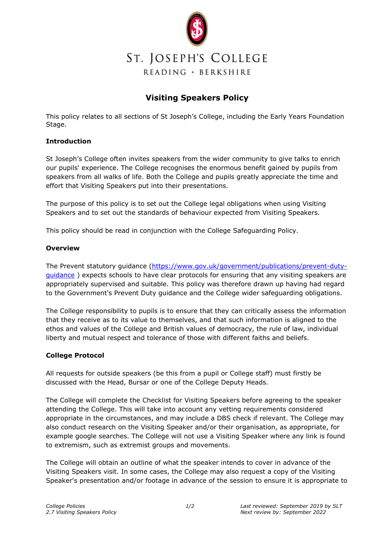

# ST. JOSEPH'S COLLEGE READING · BERKSHIRE

# **Visiting Speakers Policy**

This policy relates to all sections of St Joseph's College, including the Early Years Foundation Stage.

## **Introduction**

St Joseph's College often invites speakers from the wider community to give talks to enrich our pupils' experience. The College recognises the enormous benefit gained by pupils from speakers from all walks of life. Both the College and pupils greatly appreciate the time and effort that Visiting Speakers put into their presentations.

The purpose of this policy is to set out the College legal obligations when using Visiting Speakers and to set out the standards of behaviour expected from Visiting Speakers.

This policy should be read in conjunction with the College Safeguarding Policy.

### **Overview**

The Prevent statutory guidance [\(https://www.gov.uk/government/publications/prevent-duty](https://www.gov.uk/government/publications/prevent-duty-guidance)[guidance](https://www.gov.uk/government/publications/prevent-duty-guidance) ) expects schools to have clear protocols for ensuring that any visiting speakers are appropriately supervised and suitable. This policy was therefore drawn up having had regard to the Government's Prevent Duty guidance and the College wider safeguarding obligations.

The College responsibility to pupils is to ensure that they can critically assess the information that they receive as to its value to themselves, and that such information is aligned to the ethos and values of the College and British values of democracy, the rule of law, individual liberty and mutual respect and tolerance of those with different faiths and beliefs.

### **College Protocol**

All requests for outside speakers (be this from a pupil or College staff) must firstly be discussed with the Head, Bursar or one of the College Deputy Heads.

The College will complete the Checklist for Visiting Speakers before agreeing to the speaker attending the College. This will take into account any vetting requirements considered appropriate in the circumstances, and may include a DBS check if relevant. The College may also conduct research on the Visiting Speaker and/or their organisation, as appropriate, for example google searches. The College will not use a Visiting Speaker where any link is found to extremism, such as extremist groups and movements.

The College will obtain an outline of what the speaker intends to cover in advance of the Visiting Speakers visit. In some cases, the College may also request a copy of the Visiting Speaker's presentation and/or footage in advance of the session to ensure it is appropriate to